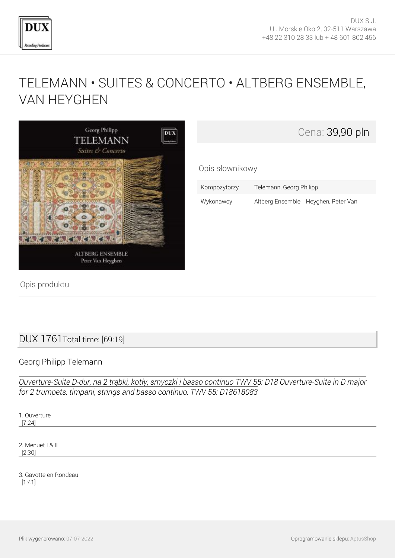

Cena: 39,90 pln

## [TELEMANN • SUITES & CONCERTO • ALTBERG ENSEMBLE,](http://www.dux.pl/telemann-suites-concerto-altberg-ensemble-van-heyghen.html) [VAN HEYGHEN](http://www.dux.pl/telemann-suites-concerto-altberg-ensemble-van-heyghen.html)

Opis słownikowy



| Kompozytorzy | Telemann, Georg Philipp              |
|--------------|--------------------------------------|
| Wykonawcy    | Altberg Ensemble, Heyghen, Peter Van |

Opis produktu

## DUX 1761Total time: [69:19]

## Georg Philipp Telemann

*Ouverture-Suite D-dur, na 2 trąbki, kotły, smyczki i basso continuo TWV 55: D18 Ouverture-Suite in D major for 2 trumpets, timpani, strings and basso continuo, TWV 55: D18618083*

1. Ouverture [7:24]

2. Menuet I & II [2:30]

3. Gavotte en Rondeau [1:41]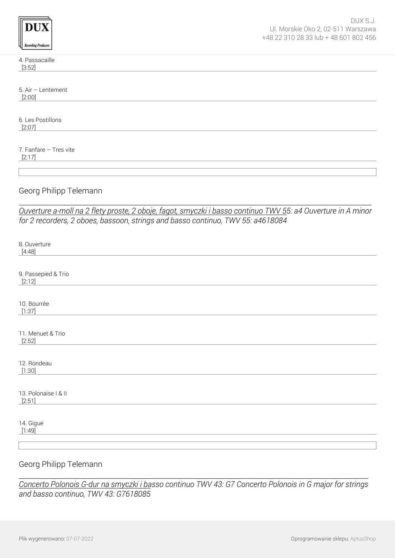| rdüng Produ<br><b>VITS</b> |
|----------------------------|

4. Passacaille [3:52]

5. Air – Lentement [2:00]

6. Les Postillons [2:07]

7. Fanfare – Tres vite [2:17]

Georg Philipp Telemann

*Ouverture a-moll na 2 flety proste, 2 oboje, fagot, smyczki i basso continuo TWV 55: a4 Ouverture in A minor for 2 recorders, 2 oboes, bassoon, strings and basso continuo, TWV 55: a4618084*

| 8. Ouverture<br>[4:48]         |
|--------------------------------|
|                                |
| 9. Passepied & Trio<br>[2:12]  |
| 10. Bourrée<br>[1:37]          |
|                                |
| 11. Menuet & Trio<br>[2:52]    |
|                                |
| 12. Rondeau<br>[1:30]          |
|                                |
| 13. Polonaise   & II<br>[2:51] |
|                                |
| 14. Gigue<br>[1:49]            |
|                                |
|                                |
| Georg Philipp Telemann         |

*Concerto Polonois G-dur na smyczki i basso continuo TWV 43: G7 Concerto Polonois in G major for strings and basso continuo, TWV 43: G7618085*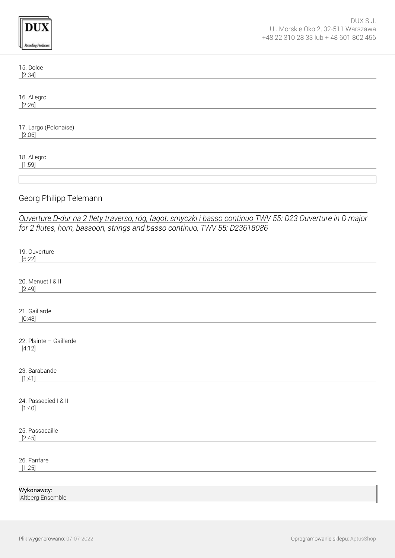| <b>Recording Producers</b>                                                                                 | DUX S.J.<br>Ul. Morskie Oko 2, 02-511 Warszawa<br>+48 22 310 28 33 lub + 48 601 802 456 |
|------------------------------------------------------------------------------------------------------------|-----------------------------------------------------------------------------------------|
| 15. Dolce<br>[2:34]                                                                                        |                                                                                         |
| 16. Allegro<br>[2:26]                                                                                      |                                                                                         |
| 17. Largo (Polonaise)<br>[2:06]                                                                            |                                                                                         |
| 18. Allegro<br>[1:59]                                                                                      |                                                                                         |
|                                                                                                            |                                                                                         |
| Georg Philipp Telemann                                                                                     |                                                                                         |
| Ouverture D-dur na 2 flety traverso, róg, fagot, smyczki i basso continuo TWV 55: D23 Ouverture in D major |                                                                                         |
| for 2 flutes, horn, bassoon, strings and basso continuo, TWV 55: D23618086                                 |                                                                                         |
| 19. Ouverture<br>[5:22]                                                                                    |                                                                                         |
| 20. Menuet I & II<br>[2:49]                                                                                |                                                                                         |
| 21. Gaillarde<br>[0:48]                                                                                    |                                                                                         |
| 22. Plainte - Gaillarde<br>[4:12]                                                                          |                                                                                         |
| 23. Sarabande<br>[1:41]                                                                                    |                                                                                         |
| 24. Passepied I & II<br>[1:40]                                                                             |                                                                                         |
| 25. Passacaille<br>[2:45]                                                                                  |                                                                                         |
| 26. Fanfare<br>[1:25]                                                                                      |                                                                                         |

Wykonawcy: Altberg Ensemble